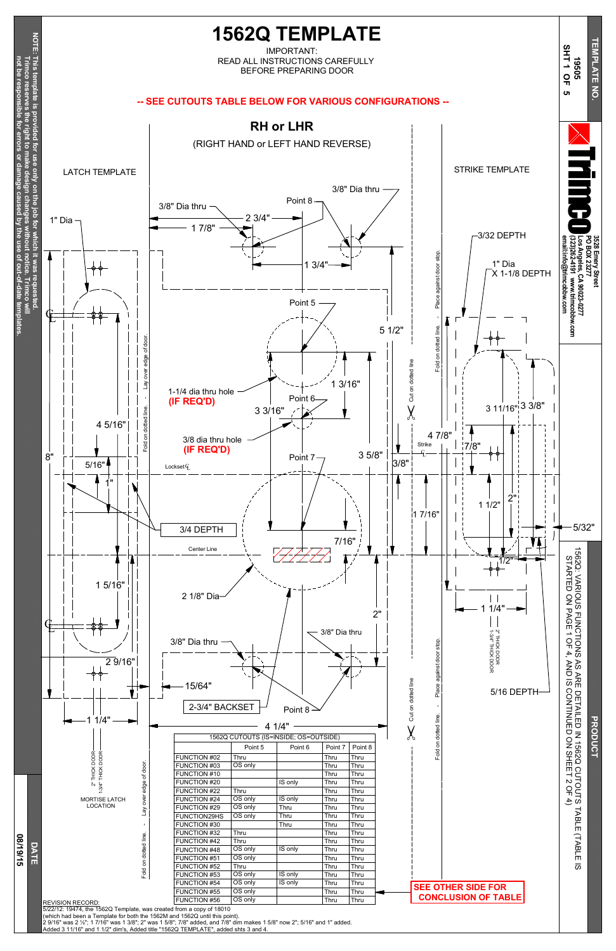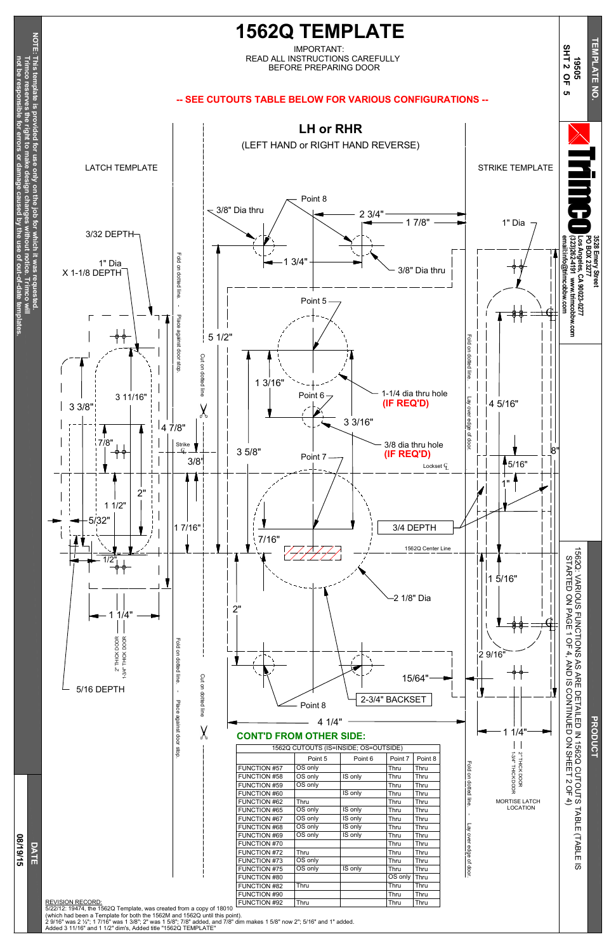$\stackrel{\textstyle\circ}{\mathsf{z}}$ SHEET  $\mathsf v$ O F 4)

**PRODUCT** 

Z

**not be resp onsible for errors or damage caused b y the use of out-of-date tem**

**plates.**

Fold on dotted line. - Lay over edge <u>ቧ</u>

C U T O U T S

T A B L E

(T A B L E

 $\overline{\omega}$ 



2" THICK

DOOR

MORTISE LATCH LOCATION

Place

against

door stop.

line

 $\chi$ 



4 1/4"

1562Q CUTOUTS (IS=INSIDE; OS=OUTSIDE)

FUNCTION #57 OS only Thru Thru Thru<br>FUNCTION #58 OS only IS only Thru Thru FUNCTION #58 OS only IS only Thru Thru FUNCTION #59 OS only Thru Thru<br>FUNCTION #60 Sonly Thru Thru FUNCTION #60 | IS only Thru Thru FUNCTION #62 Thru Thru Thru FUNCTION #65 OS only IS only Thru Thru<br>FUNCTION #67 OS only IS only Thru Thru FUNCTION #67 OS only IS only Thru Thru FUNCTION #68 OS only IS only Thru Thru FUNCTION #69 OS only IS only Thru Thru FUNCTION #70 | | | | | | | | Thru | Thru FUNCTION #72 Thru Thru Thru Thru Thru<br>FUNCTION #73 OS only Thru Thru Thru FUNCTION #73 OS only | Thru Thru FUNCTION #75 OS only IS only Thru Thru<br>FUNCTION #80 (OS only Thru FUNCTION #80 **OS only Thru** FUNCTION #82 Thru | Thru Thru Thru FUNCTION #90 | | | | | | | | | Thru | | Thru FUNCTION #92 Thru Thru Thru Thru

Point 5 | Point 6 | Point 7 | Point 8



— Point 8

**CONT'D FROM OTHER SIDE:**

REVISION RECORD:

5/22/12: 19474, the 1562Q Template, was created from a copy of 18010

(which had been a Template for both the 1562M and 1562Q until this point).

2 9/16" was 2 ½"; 1 7/16" was 1 3/8"; 2" was 1 5/8"; 7/8" added, and 7/8" dim makes 1 5/8" now 2"; 5/16" and 1" added.

Added 3 11/16" and 1 1/2" dim's, Added title "1562Q TEMPLATE"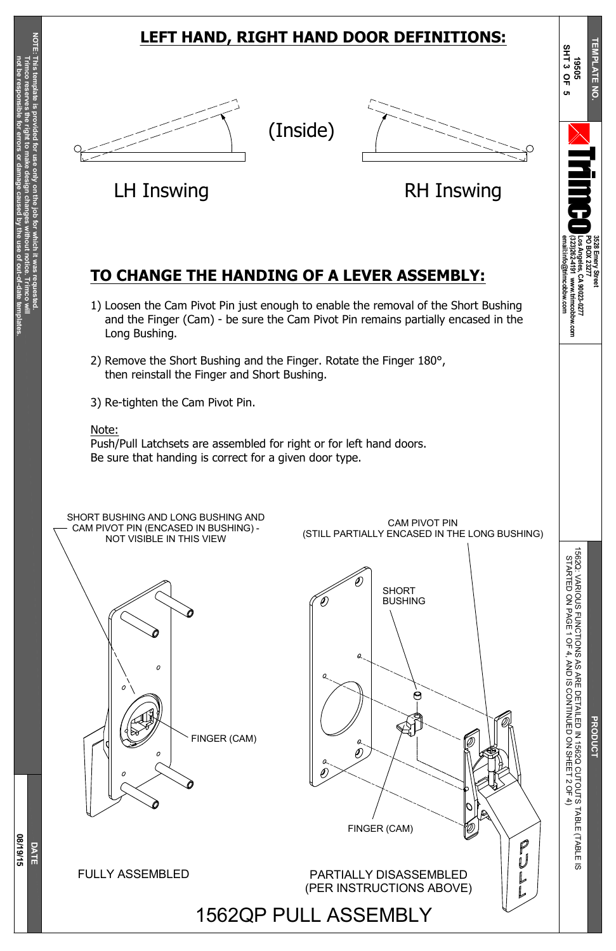**3528**

**Emery**

**Street**

**PO B OX 23277**

**Los**

**Angeles,**

**CA**

**90023-0277**

**(323)262-4191**

**www.trimcobbw.com**

**email:info@trimcobbw.com**



r i

**The Co** 

o

**T E**

**NPLATE** 

**N O.**

 $\overline{\mathbf{z}}$ 

**N**

15 6 2 Q:  $\lessapprox$ RIO U S FUNCTIONS A S a<br>FE S T A R T E D  $\mathsf{\underline{S}}$ P A G E 1 O F 4, ≥<br>D ភ

ន<br>ន

#### ETAILED Z 15 6 2 Q C U T O U T S T A B L E (T A B L E  $\overline{\omega}$ N TIN U E D  $\stackrel{\textstyle\circ}{\mathsf{z}}$ SHEET  $\mathsf v$ O F 4)

**S H T 3 O F 5**

SHORT BUSHING AND LONG BUSHING AND CAM PIVOT PIN (ENCASED IN BUSHING) - NOT VISIBLE IN THIS VIEW

CAM PIVOT PIN (STILL PARTIALLY ENCASED IN THE LONG BUSHING)





## **LEFT HAND, RIGHT HAND DOOR DEFINITIONS:**







LH Inswing **EXAMPLE RH Inswing** 

# **TO CHANGE THE HANDING OF A LEVER ASSEMBLY:**

- 1) Loosen the Cam Pivot Pin just enough to enable the removal of the Short Bushing and the Finger (Cam) - be sure the Cam Pivot Pin remains partially encased in the Long Bushing.
- 2) Remove the Short Bushing and the Finger. Rotate the Finger 180°, then reinstall the Finger and Short Bushing.
- 3) Re-tighten the Cam Pivot Pin.

#### Note:

Push/Pull Latchsets are assembled for right or for left hand doors. Be sure that handing is correct for a given door type.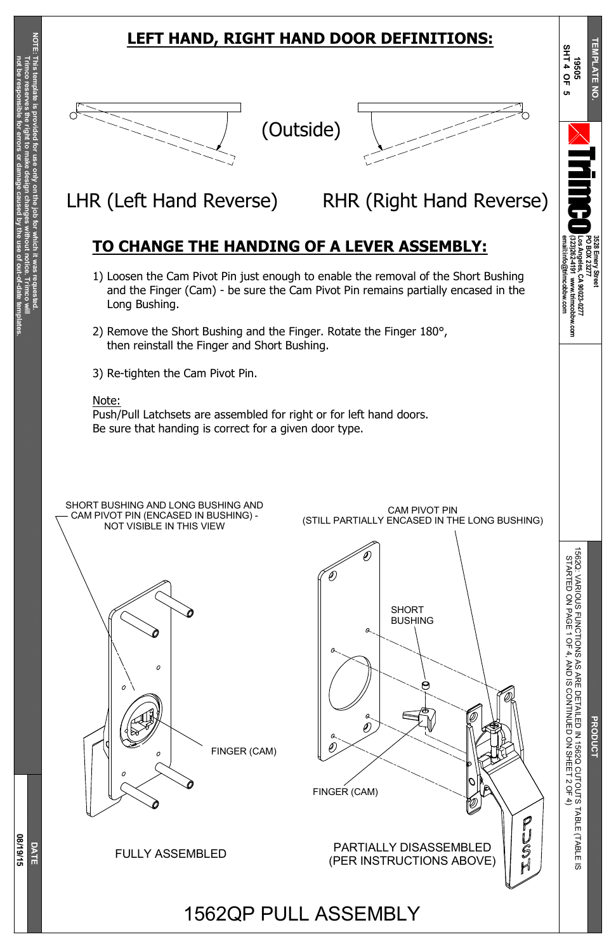**3528**

**Emery**

**Street**

**PO B OX 23277**

**Los**

**Angeles,**

**CA**

**90023-0277**

**(323)262-4191**

**www.trimcobbw.com**

**email:info@trimcobbw.com**



r i

**The Co** 

o

**T**

**EMPLATE** 

**N O.**

 $\overline{\mathbf{z}}$ 

A S A<br>RE

ETAILED Z 15 6 2 Q C U T O U T S T A B L E (T A B L E  $\overline{\omega}$ N TIN U E D  $\stackrel{\textstyle\circ}{\mathsf{z}}$ SHEET  $\mathsf v$ O F 4)

**S H T 4 O F 5**

 $\lessapprox$ 

RIO U S

FUNCTIONS

# **LEFT HAND, RIGHT HAND DOOR DEFINITIONS:**

## **TO CHANGE THE HANDING OF A LEVER ASSEMBLY:**



- 1) Loosen the Cam Pivot Pin just enough to enable the removal of the Short Bushing and the Finger (Cam) - be sure the Cam Pivot Pin remains partially encased in the Long Bushing.
- 2) Remove the Short Bushing and the Finger. Rotate the Finger 180°, then reinstall the Finger and Short Bushing.
- 3) Re-tighten the Cam Pivot Pin.

#### Note:

Push/Pull Latchsets are assembled for right or for left hand doors. Be sure that handing is correct for a given door type.





LHR (Left Hand Reverse) RHR (Right Hand Reverse)